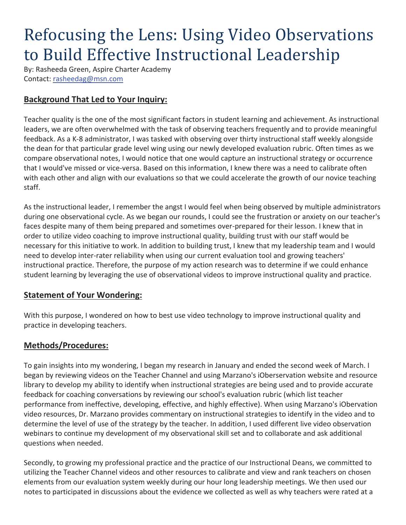# Refocusing the Lens: Using Video Observations to Build Effective Instructional Leadership

By: Rasheeda Green, Aspire Charter Academy Contact: rasheedag@msn.com

## **Background That Led to Your Inquiry:**

Teacher quality is the one of the most significant factors in student learning and achievement. As instructional leaders, we are often overwhelmed with the task of observing teachers frequently and to provide meaningful feedback. As a K-8 administrator, I was tasked with observing over thirty instructional staff weekly alongside the dean for that particular grade level wing using our newly developed evaluation rubric. Often times as we compare observational notes, I would notice that one would capture an instructional strategy or occurrence that I would've missed or vice-versa. Based on this information, I knew there was a need to calibrate often with each other and align with our evaluations so that we could accelerate the growth of our novice teaching staff.

As the instructional leader, I remember the angst I would feel when being observed by multiple administrators during one observational cycle. As we began our rounds, I could see the frustration or anxiety on our teacher's faces despite many of them being prepared and sometimes over-prepared for their lesson. I knew that in order to utilize video coaching to improve instructional quality, building trust with our staff would be necessary for this initiative to work. In addition to building trust, I knew that my leadership team and I would need to develop inter-rater reliability when using our current evaluation tool and growing teachers' instructional practice. Therefore, the purpose of my action research was to determine if we could enhance student learning by leveraging the use of observational videos to improve instructional quality and practice.

### **Statement of Your Wondering:**

With this purpose, I wondered on how to best use video technology to improve instructional quality and practice in developing teachers.

### **Methods/Procedures:**

To gain insights into my wondering, I began my research in January and ended the second week of March. I began by reviewing videos on the Teacher Channel and using Marzano's iOberservation website and resource library to develop my ability to identify when instructional strategies are being used and to provide accurate feedback for coaching conversations by reviewing our school's evaluation rubric (which list teacher performance from ineffective, developing, effective, and highly effective). When using Marzano's iObervation video resources, Dr. Marzano provides commentary on instructional strategies to identify in the video and to determine the level of use of the strategy by the teacher. In addition, I used different live video observation webinars to continue my development of my observational skill set and to collaborate and ask additional questions when needed.

Secondly, to growing my professional practice and the practice of our Instructional Deans, we committed to utilizing the Teacher Channel videos and other resources to calibrate and view and rank teachers on chosen elements from our evaluation system weekly during our hour long leadership meetings. We then used our notes to participated in discussions about the evidence we collected as well as why teachers were rated at a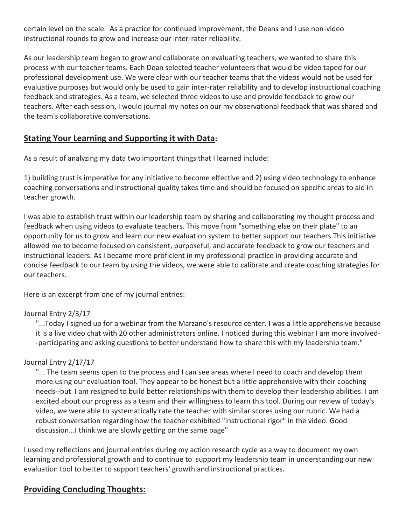certain level on the scale. As a practice for continued improvement, the Deans and I use non-video instructional rounds to grow and increase our inter-rater reliability.

As our leadership team began to grow and collaborate on evaluating teachers, we wanted to share this process with our teacher teams. Each Dean selected teacher volunteers that would be video taped for our professional development use. We were clear with our teacher teams that the videos would not be used for evaluative purposes but would only be used to gain inter-rater reliability and to develop instructional coaching feedback and strategies. As a team, we selected three videos to use and provide feedback to grow our teachers. After each session, I would journal my notes on our my observational feedback that was shared and the team's collaborative conversations.

### **Stating Your Learning and Supporting it with Data:**

As a result of analyzing my data two important things that I learned include:

1) building trust is imperative for any initiative to become effective and 2) using video technology to enhance coaching conversations and instructional quality takes time and should be focused on specific areas to aid in teacher growth.

I was able to establish trust within our leadership team by sharing and collaborating my thought process and feedback when using videos to evaluate teachers. This move from "something else on their plate" to an opportunity for us to grow and learn our new evaluation system to better support our teachers.This initiative allowed me to become focused on consistent, purposeful, and accurate feedback to grow our teachers and instructional leaders. As I became more proficient in my professional practice in providing accurate and concise feedback to our team by using the videos, we were able to calibrate and create coaching strategies for our teachers.

Here is an excerpt from one of my journal entries:

#### Journal Entry 2/3/17

"...Today I signed up for a webinar from the Marzano's resource center. I was a little apprehensive because it is a live video chat with 20 other administrators online. I noticed during this webinar I am more involved- -participating and asking questions to better understand how to share this with my leadership team."

#### Journal Entry 2/17/17

"... The team seems open to the process and I can see areas where I need to coach and develop them more using our evaluation tool. They appear to be honest but a little apprehensive with their coaching needs--but I am resigned to build better relationships with them to develop their leadership abilities. I am excited about our progress as a team and their willingness to learn this tool. During our review of today's video, we were able to systematically rate the teacher with similar scores using our rubric. We had a robust conversation regarding how the teacher exhibited "instructional rigor" in the video. Good discussion...I think we are slowly getting on the same page"

I used my reflections and journal entries during my action research cycle as a way to document my own learning and professional growth and to continue to support my leadership team in understanding our new evaluation tool to better to support teachers' growth and instructional practices.

### **Providing Concluding Thoughts:**